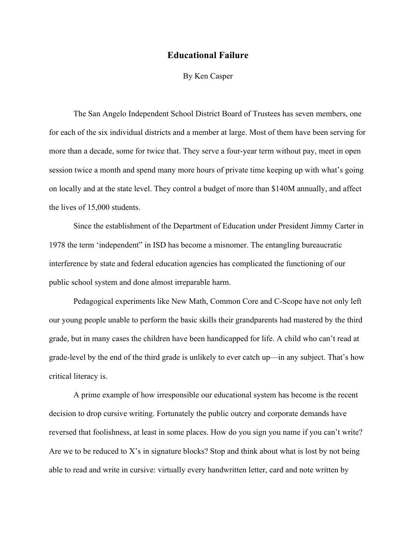## **Educational Failure**

## By Ken Casper

The San Angelo Independent School District Board of Trustees has seven members, one for each of the six individual districts and a member at large. Most of them have been serving for more than a decade, some for twice that. They serve a four-year term without pay, meet in open session twice a month and spend many more hours of private time keeping up with what's going on locally and at the state level. They control a budget of more than \$140M annually, and affect the lives of 15,000 students.

Since the establishment of the Department of Education under President Jimmy Carter in 1978 the term 'independent" in ISD has become a misnomer. The entangling bureaucratic interference by state and federal education agencies has complicated the functioning of our public school system and done almost irreparable harm.

Pedagogical experiments like New Math, Common Core and C-Scope have not only left our young people unable to perform the basic skills their grandparents had mastered by the third grade, but in many cases the children have been handicapped for life. A child who can't read at grade-level by the end of the third grade is unlikely to ever catch up—in any subject. That's how critical literacy is.

A prime example of how irresponsible our educational system has become is the recent decision to drop cursive writing. Fortunately the public outcry and corporate demands have reversed that foolishness, at least in some places. How do you sign you name if you can't write? Are we to be reduced to X's in signature blocks? Stop and think about what is lost by not being able to read and write in cursive: virtually every handwritten letter, card and note written by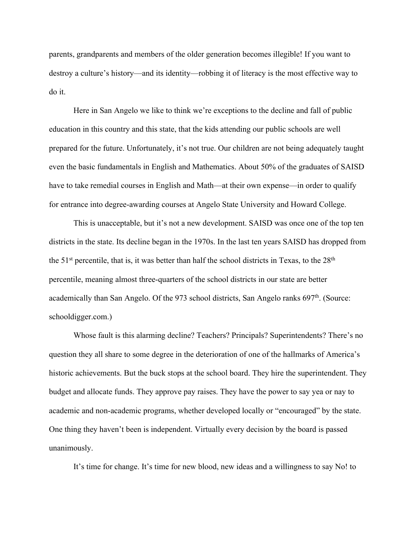parents, grandparents and members of the older generation becomes illegible! If you want to destroy a culture's history—and its identity—robbing it of literacy is the most effective way to do it.

Here in San Angelo we like to think we're exceptions to the decline and fall of public education in this country and this state, that the kids attending our public schools are well prepared for the future. Unfortunately, it's not true. Our children are not being adequately taught even the basic fundamentals in English and Mathematics. About 50% of the graduates of SAISD have to take remedial courses in English and Math—at their own expense—in order to qualify for entrance into degree-awarding courses at Angelo State University and Howard College.

This is unacceptable, but it's not a new development. SAISD was once one of the top ten districts in the state. Its decline began in the 1970s. In the last ten years SAISD has dropped from the  $51<sup>st</sup>$  percentile, that is, it was better than half the school districts in Texas, to the  $28<sup>th</sup>$ percentile, meaning almost three-quarters of the school districts in our state are better academically than San Angelo. Of the 973 school districts, San Angelo ranks 697<sup>th</sup>. (Source: schooldigger.com.)

Whose fault is this alarming decline? Teachers? Principals? Superintendents? There's no question they all share to some degree in the deterioration of one of the hallmarks of America's historic achievements. But the buck stops at the school board. They hire the superintendent. They budget and allocate funds. They approve pay raises. They have the power to say yea or nay to academic and non-academic programs, whether developed locally or "encouraged" by the state. One thing they haven't been is independent. Virtually every decision by the board is passed unanimously.

It's time for change. It's time for new blood, new ideas and a willingness to say No! to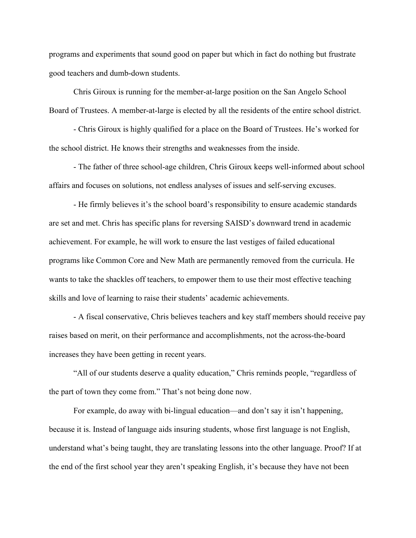programs and experiments that sound good on paper but which in fact do nothing but frustrate good teachers and dumb-down students.

Chris Giroux is running for the member-at-large position on the San Angelo School Board of Trustees. A member-at-large is elected by all the residents of the entire school district.

- Chris Giroux is highly qualified for a place on the Board of Trustees. He's worked for the school district. He knows their strengths and weaknesses from the inside.

- The father of three school-age children, Chris Giroux keeps well-informed about school affairs and focuses on solutions, not endless analyses of issues and self-serving excuses.

- He firmly believes it's the school board's responsibility to ensure academic standards are set and met. Chris has specific plans for reversing SAISD's downward trend in academic achievement. For example, he will work to ensure the last vestiges of failed educational programs like Common Core and New Math are permanently removed from the curricula. He wants to take the shackles off teachers, to empower them to use their most effective teaching skills and love of learning to raise their students' academic achievements.

- A fiscal conservative, Chris believes teachers and key staff members should receive pay raises based on merit, on their performance and accomplishments, not the across-the-board increases they have been getting in recent years.

"All of our students deserve a quality education," Chris reminds people, "regardless of the part of town they come from." That's not being done now.

For example, do away with bi-lingual education—and don't say it isn't happening, because it is. Instead of language aids insuring students, whose first language is not English, understand what's being taught, they are translating lessons into the other language. Proof? If at the end of the first school year they aren't speaking English, it's because they have not been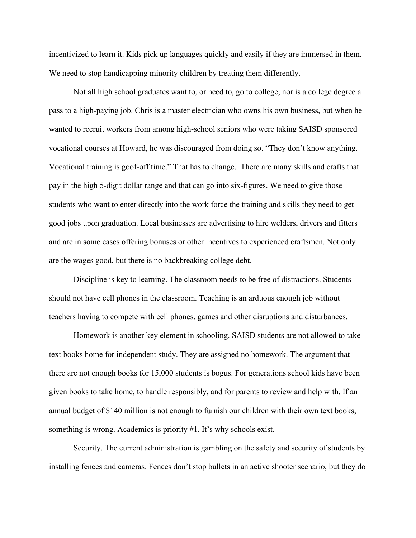incentivized to learn it. Kids pick up languages quickly and easily if they are immersed in them. We need to stop handicapping minority children by treating them differently.

Not all high school graduates want to, or need to, go to college, nor is a college degree a pass to a high-paying job. Chris is a master electrician who owns his own business, but when he wanted to recruit workers from among high-school seniors who were taking SAISD sponsored vocational courses at Howard, he was discouraged from doing so. "They don't know anything. Vocational training is goof-off time." That has to change. There are many skills and crafts that pay in the high 5-digit dollar range and that can go into six-figures. We need to give those students who want to enter directly into the work force the training and skills they need to get good jobs upon graduation. Local businesses are advertising to hire welders, drivers and fitters and are in some cases offering bonuses or other incentives to experienced craftsmen. Not only are the wages good, but there is no backbreaking college debt.

Discipline is key to learning. The classroom needs to be free of distractions. Students should not have cell phones in the classroom. Teaching is an arduous enough job without teachers having to compete with cell phones, games and other disruptions and disturbances.

Homework is another key element in schooling. SAISD students are not allowed to take text books home for independent study. They are assigned no homework. The argument that there are not enough books for 15,000 students is bogus. For generations school kids have been given books to take home, to handle responsibly, and for parents to review and help with. If an annual budget of \$140 million is not enough to furnish our children with their own text books, something is wrong. Academics is priority #1. It's why schools exist.

Security. The current administration is gambling on the safety and security of students by installing fences and cameras. Fences don't stop bullets in an active shooter scenario, but they do